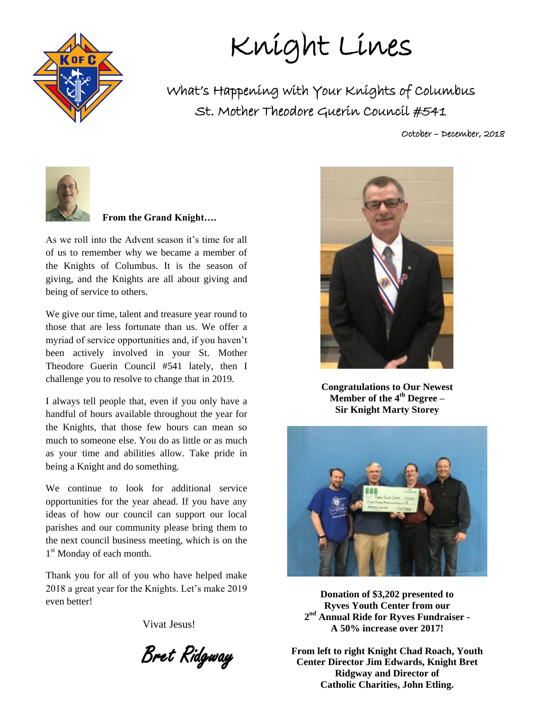

Knight Lines

What's Happening with Your Knights of Columbus St. Mother Theodore Guerin Council #541

October – December, 2018



#### **From the Grand Knight….**

As we roll into the Advent season it's time for all of us to remember why we became a member of the Knights of Columbus. It is the season of giving, and the Knights are all about giving and being of service to others.

We give our time, talent and treasure year round to those that are less fortunate than us. We offer a myriad of service opportunities and, if you haven't been actively involved in your St. Mother Theodore Guerin Council #541 lately, then I challenge you to resolve to change that in 2019.

I always tell people that, even if you only have a handful of hours available throughout the year for the Knights, that those few hours can mean so much to someone else. You do as little or as much as your time and abilities allow. Take pride in being a Knight and do something.

We continue to look for additional service opportunities for the year ahead. If you have any ideas of how our council can support our local parishes and our community please bring them to the next council business meeting, which is on the 1<sup>st</sup> Monday of each month.

Thank you for all of you who have helped make 2018 a great year for the Knights. Let's make 2019 even better!

Vivat Jesus!

Bret Ridgway



**Congratulations to Our Newest Member of the 4th Degree – Sir Knight Marty Storey**



**Donation of \$3,202 presented to Ryves Youth Center from our 2 nd Annual Ride for Ryves Fundraiser - A 50% increase over 2017!** 

**From left to right Knight Chad Roach, Youth Center Director Jim Edwards, Knight Bret Ridgway and Director of Catholic Charities, John Etling.**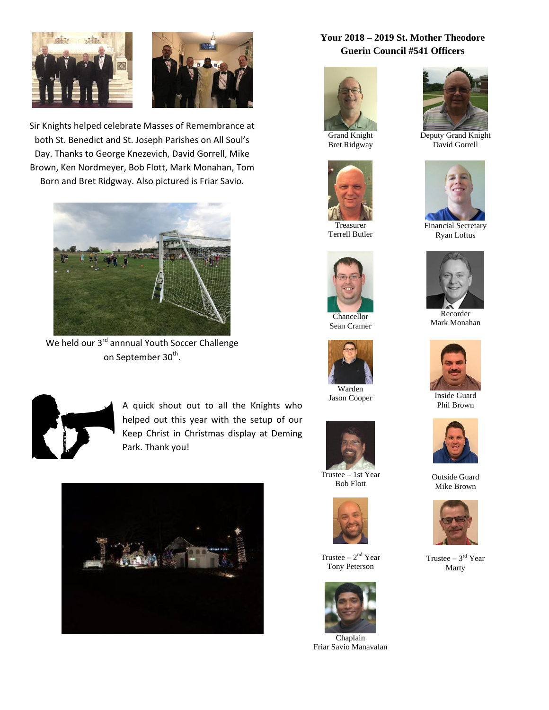



Sir Knights helped celebrate Masses of Remembrance at both St. Benedict and St. Joseph Parishes on All Soul's Day. Thanks to George Knezevich, David Gorrell, Mike Brown, Ken Nordmeyer, Bob Flott, Mark Monahan, Tom Born and Bret Ridgway. Also pictured is Friar Savio.



We held our 3<sup>rd</sup> annnual Youth Soccer Challenge on September 30<sup>th</sup>.



A quick shout out to all the Knights who helped out this year with the setup of our Keep Christ in Christmas display at Deming Park. Thank you!



#### **Your 2018 – 2019 St. Mother Theodore Guerin Council #541 Officers**



Grand Knight Bret Ridgway



Terrell Butler



Chancellor Sean Cramer



Jason Cooper



Trustee – 1st Year Bob Flott



Trustee  $-2<sup>nd</sup>$  Year Tony Peterson



Chaplain Friar Savio Manavalan



Deputy Grand Knight David Gorrell



Financial Secretary Ryan Loftus



Recorder Mark Monahan



Inside Guard Phil Brown



Outside Guard Mike Brown



Trustee  $-3<sup>rd</sup>$  Year Marty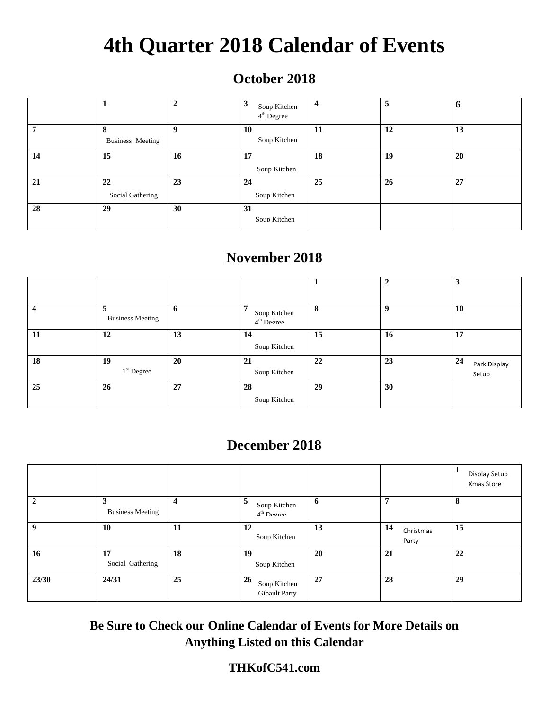# **4th Quarter 2018 Calendar of Events**

## **October 2018**

|    |                  | $\overline{2}$ | 3<br>Soup Kitchen<br>4 <sup>th</sup> Degree | $\overline{\mathbf{4}}$ | 5  | O  |
|----|------------------|----------------|---------------------------------------------|-------------------------|----|----|
|    |                  |                |                                             |                         |    |    |
|    | 8                | 9              | 10                                          | 11                      | 12 | 13 |
|    | Business Meeting |                | Soup Kitchen                                |                         |    |    |
| 14 | 15               | 16             | 17                                          | 18                      | 19 | 20 |
|    |                  |                | Soup Kitchen                                |                         |    |    |
| 21 | 22               | 23             | 24                                          | 25                      | 26 | 27 |
|    | Social Gathering |                | Soup Kitchen                                |                         |    |    |
| 28 | 29               | 30             | 31                                          |                         |    |    |
|    |                  |                | Soup Kitchen                                |                         |    |    |

## **November 2018**

|           |                              |    |                                             |    | $\overline{2}$ | 3                           |
|-----------|------------------------------|----|---------------------------------------------|----|----------------|-----------------------------|
| Δ         | 5<br><b>Business Meeting</b> | 6  | 7<br>Soup Kitchen<br>4 <sup>th</sup> Degree | 8  | 9              | <b>10</b>                   |
| <b>11</b> | 12                           | 13 | 14<br>Soup Kitchen                          | 15 | 16             | 17                          |
| 18        | 19<br>$1st$ Degree           | 20 | 21<br>Soup Kitchen                          | 22 | 23             | 24<br>Park Display<br>Setup |
| 25        | 26                           | 27 | 28<br>Soup Kitchen                          | 29 | 30             |                             |

### **December 2018**

|              |                              |                |                                            |    |                          | Display Setup<br>Xmas Store |
|--------------|------------------------------|----------------|--------------------------------------------|----|--------------------------|-----------------------------|
| $\mathbf{c}$ | 3<br><b>Business Meeting</b> | $\overline{4}$ | 5<br>Soup Kitchen<br>$4th$ Degree          | 6  | 7                        | 8                           |
| 9            | 10                           | 11             | 12<br>Soup Kitchen                         | 13 | 14<br>Christmas<br>Party | 15                          |
| 16           | 17<br>Social Gathering       | 18             | 19<br>Soup Kitchen                         | 20 | 21                       | 22                          |
| 23/30        | 24/31                        | 25             | 26<br>Soup Kitchen<br><b>Gibault Party</b> | 27 | 28                       | 29                          |

**Be Sure to Check our Online Calendar of Events for More Details on Anything Listed on this Calendar**

### **THKofC541.com**